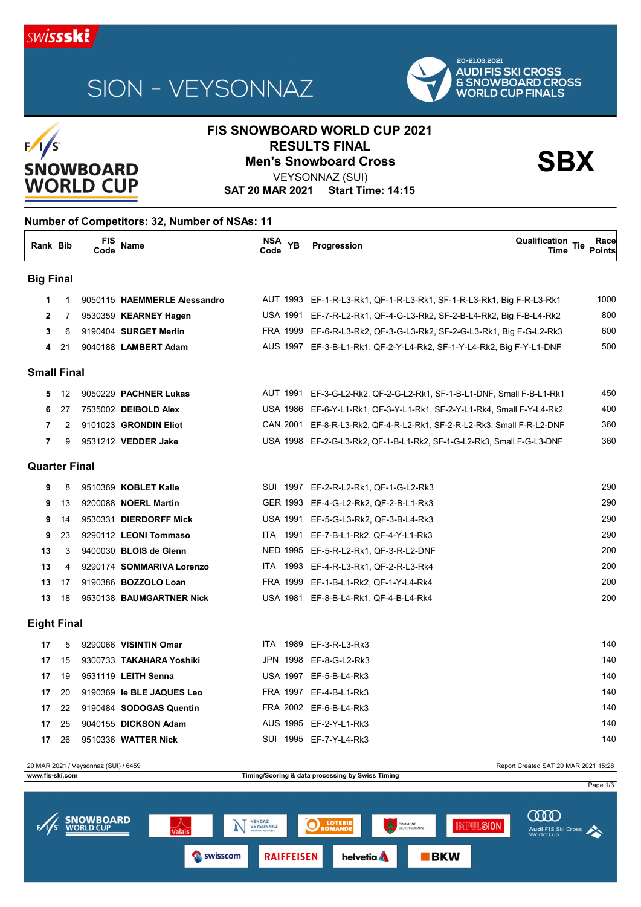

# SION - VEYSONNAZ



## **FIS SNOWBOARD WORLD CUP 2021 RESULTS FINAL<br>Men's Snowboard Cross Sandward Cross**<br>Men's Snowboard Cross



### VEYSONNAZ (SUI)

**SAT 20 MAR 2021 Start Time: 14:15**

#### **Number of Competitors: 32, Number of NSAs: 11**

| Rank Bib             |             | FIS<br>Code | Name                         | NSA<br><b>YB</b><br>Code | Qualification Tie<br>Progression<br>Time                               | Race<br><b>Points</b> |
|----------------------|-------------|-------------|------------------------------|--------------------------|------------------------------------------------------------------------|-----------------------|
| <b>Big Final</b>     |             |             |                              |                          |                                                                        |                       |
| 1                    | $\mathbf 1$ |             | 9050115 HAEMMERLE Alessandro |                          | AUT 1993 EF-1-R-L3-Rk1, QF-1-R-L3-Rk1, SF-1-R-L3-Rk1, Big F-R-L3-Rk1   | 1000                  |
| $\mathbf{2}$         | 7           |             | 9530359 KEARNEY Hagen        |                          | USA 1991 EF-7-R-L2-Rk1, QF-4-G-L3-Rk2, SF-2-B-L4-Rk2, Big F-B-L4-Rk2   | 800                   |
| 3                    | 6           |             | 9190404 SURGET Merlin        |                          | FRA 1999 EF-6-R-L3-Rk2, QF-3-G-L3-Rk2, SF-2-G-L3-Rk1, Big F-G-L2-Rk3   | 600                   |
| 4                    | 21          |             | 9040188 LAMBERT Adam         |                          | AUS 1997 EF-3-B-L1-Rk1, QF-2-Y-L4-Rk2, SF-1-Y-L4-Rk2, Big F-Y-L1-DNF   | 500                   |
| <b>Small Final</b>   |             |             |                              |                          |                                                                        |                       |
| 5                    | 12          |             | 9050229 PACHNER Lukas        |                          | AUT 1991 EF-3-G-L2-Rk2, QF-2-G-L2-Rk1, SF-1-B-L1-DNF, Small F-B-L1-Rk1 | 450                   |
| 6                    | 27          |             | 7535002 DEIBOLD Alex         |                          | USA 1986 EF-6-Y-L1-Rk1, QF-3-Y-L1-Rk1, SF-2-Y-L1-Rk4, Small F-Y-L4-Rk2 | 400                   |
| 7                    | 2           |             | 9101023 GRONDIN Eliot        |                          | CAN 2001 EF-8-R-L3-Rk2, QF-4-R-L2-Rk1, SF-2-R-L2-Rk3, Small F-R-L2-DNF | 360                   |
| 7                    | 9           |             | 9531212 VEDDER Jake          |                          | USA 1998 EF-2-G-L3-Rk2, QF-1-B-L1-Rk2, SF-1-G-L2-Rk3, Small F-G-L3-DNF | 360                   |
| <b>Quarter Final</b> |             |             |                              |                          |                                                                        |                       |
| 9                    | 8           |             | 9510369 KOBLET Kalle         |                          | SUI 1997 EF-2-R-L2-Rk1, QF-1-G-L2-Rk3                                  | 290                   |
| 9                    | 13          |             | 9200088 <b>NOERL Martin</b>  |                          | GER 1993 EF-4-G-L2-Rk2, QF-2-B-L1-Rk3                                  | 290                   |
| 9                    | 14          |             | 9530331 DIERDORFF Mick       |                          | USA 1991 EF-5-G-L3-Rk2, QF-3-B-L4-Rk3                                  | 290                   |
| 9                    | 23          |             | 9290112 LEONI Tommaso        |                          | ITA 1991 EF-7-B-L1-Rk2, QF-4-Y-L1-Rk3                                  | 290                   |
| 13                   | 3           |             | 9400030 BLOIS de Glenn       |                          | NED 1995 EF-5-R-L2-Rk1, QF-3-R-L2-DNF                                  | 200                   |
| 13                   | 4           |             | 9290174 SOMMARIVA Lorenzo    |                          | ITA 1993 EF-4-R-L3-Rk1, QF-2-R-L3-Rk4                                  | 200                   |
| 13                   | 17          |             | 9190386 BOZZOLO Loan         |                          | FRA 1999 EF-1-B-L1-Rk2, QF-1-Y-L4-Rk4                                  | 200                   |
| 13                   | 18          |             | 9530138 BAUMGARTNER Nick     |                          | USA 1981 EF-8-B-L4-Rk1, QF-4-B-L4-Rk4                                  | 200                   |
| <b>Eight Final</b>   |             |             |                              |                          |                                                                        |                       |
| 17                   | 5           |             | 9290066 VISINTIN Omar        | <b>ITA 1989</b>          | EF-3-R-L3-Rk3                                                          | 140                   |
| 17                   | 15          |             | 9300733 TAKAHARA Yoshiki     |                          | JPN 1998 EF-8-G-L2-Rk3                                                 | 140                   |
| 17                   | 19          |             | 9531119 LEITH Senna          |                          | USA 1997 EF-5-B-L4-Rk3                                                 | 140                   |
| 17                   | 20          |             | 9190369 le BLE JAQUES Leo    |                          | FRA 1997 EF-4-B-L1-Rk3                                                 | 140                   |
| 17                   | 22          |             | 9190484 SODOGAS Quentin      |                          | FRA 2002 EF-6-B-L4-Rk3                                                 | 140                   |
| 17                   | 25          |             | 9040155 DICKSON Adam         |                          | AUS 1995 EF-2-Y-L1-Rk3                                                 | 140                   |

20 MAR 2021 / Veysonnaz (SUI) / 6459 Report Created SAT 20 MAR 2021 15:28 **www.fis-ski.com Timing/Scoring & data processing by Swiss Timing** Page 1/3 **COOD SNOWBOARD** NENDAZ<br>VEYSONNAZ  $\mathbf{F}$ O **LOTE IMPULSION** Audi FIS Ski Cross  $BKN$ Swisscom **RAIFFEISEN helvetia** 

**17** 26 9510336 **WATTER Nick** SUI 1995 EF-7-Y-L4-Rk3 140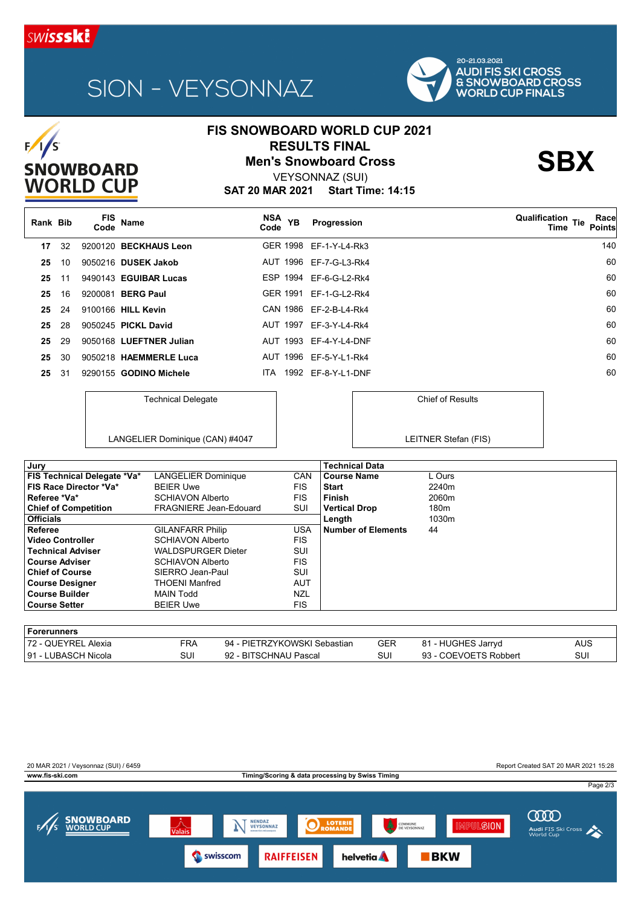

 $F/1/s$ 

SNOWBOARD<br>WORLD CUP

# SION - VEYSONNAZ



Chief of Results

LEITNER Stefan (FIS)

## **FIS SNOWBOARD WORLD CUP 2021 RESULTS FINAL<br>Men's Snowboard Cross Sandward Cross**<br>Men's Snowboard Cross

**SAT 20 MAR 2021 Start Time: 14:15** VEYSONNAZ (SUI)

| Rank Bib |     | <b>FIS</b><br>Code | Name                     | NSA <sub>YB</sub><br>Code | Progression            | <b>Qualification Tie</b><br>Race<br><b>Points</b><br>Time |
|----------|-----|--------------------|--------------------------|---------------------------|------------------------|-----------------------------------------------------------|
| 17       | 32  |                    | 9200120 BECKHAUS Leon    |                           | GER 1998 EF-1-Y-L4-Rk3 | 140                                                       |
| 25       | 10  |                    | 9050216 DUSEK Jakob      |                           | AUT 1996 EF-7-G-L3-Rk4 | 60                                                        |
| 25       | -11 |                    | 9490143 EGUIBAR Lucas    |                           | ESP 1994 EF-6-G-L2-Rk4 | 60                                                        |
| 25       | 16  |                    | 9200081 <b>BERG Paul</b> | <b>GER 1991</b>           | EF-1-G-L2-Rk4          | 60                                                        |
| 25       | 24  |                    | 9100166 HILL Kevin       |                           | CAN 1986 EF-2-B-L4-Rk4 | 60                                                        |
| 25       | 28  |                    | 9050245 PICKL David      |                           | AUT 1997 EF-3-Y-L4-Rk4 | 60                                                        |
| 25       | 29  |                    | 9050168 LUEFTNER Julian  |                           | AUT 1993 EF-4-Y-L4-DNF | 60                                                        |
| 25       | 30  |                    | 9050218 HAEMMERLE Luca   |                           | AUT 1996 EF-5-Y-L1-Rk4 | 60                                                        |
| 25       | -31 |                    | 9290155 GODINO Michele   | ITA.                      | 1992 EF-8-Y-L1-DNF     | 60                                                        |

Technical Delegate

LANGELIER Dominique (CAN) #4047

| Jury                               |                               |            | <b>Technical Data</b> |                  |
|------------------------------------|-------------------------------|------------|-----------------------|------------------|
| <b>FIS Technical Delegate *Va*</b> | <b>LANGELIER Dominique</b>    | <b>CAN</b> | <b>Course Name</b>    | L Ours           |
| FIS Race Director *Va*             | <b>BEIER Uwe</b>              | <b>FIS</b> | <b>Start</b>          | 2240m            |
| Referee *Va*                       | <b>SCHIAVON Alberto</b>       | <b>FIS</b> | <b>Finish</b>         | 2060m            |
| <b>Chief of Competition</b>        | <b>FRAGNIERE Jean-Edouard</b> | SUI        | <b>Vertical Drop</b>  | 180 <sub>m</sub> |
| <b>Officials</b>                   |                               |            | Length                | 1030m            |
| <b>Referee</b>                     | <b>GILANFARR Philip</b>       | <b>USA</b> | Number of Elements    | 44               |
| Video Controller                   | SCHIAVON Alberto              | <b>FIS</b> |                       |                  |
| <b>Technical Adviser</b>           | <b>WALDSPURGER Dieter</b>     | SUI        |                       |                  |
| ∣Course Adviser                    | <b>SCHIAVON Alberto</b>       | <b>FIS</b> |                       |                  |
| <b>Chief of Course</b>             | SIERRO Jean-Paul              | SUI        |                       |                  |
| <b>Course Designer</b>             | <b>THOENI Manfred</b>         | AUT        |                       |                  |
| ∣ Course Builder                   | <b>MAIN Todd</b>              | <b>NZL</b> |                       |                  |
| ∣ Course Setter                    | <b>BEIER Uwe</b>              | <b>FIS</b> |                       |                  |
|                                    |                               |            |                       |                  |

| l Forerunners        |     |                              |            |                       |     |
|----------------------|-----|------------------------------|------------|-----------------------|-----|
| 172 - QUEYREL Alexia | FRA | 94 - PIETRZYKOWSKI Sebastian | <b>GER</b> | 81 - HUGHES Jarryd    | AUS |
| 191 - LUBASCH Nicola | SUI | 92 - BITSCHNAU Pascal        | SUI        | 93 - COEVOETS Robbert | SUI |